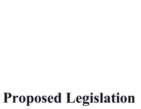## Proposed Legislation